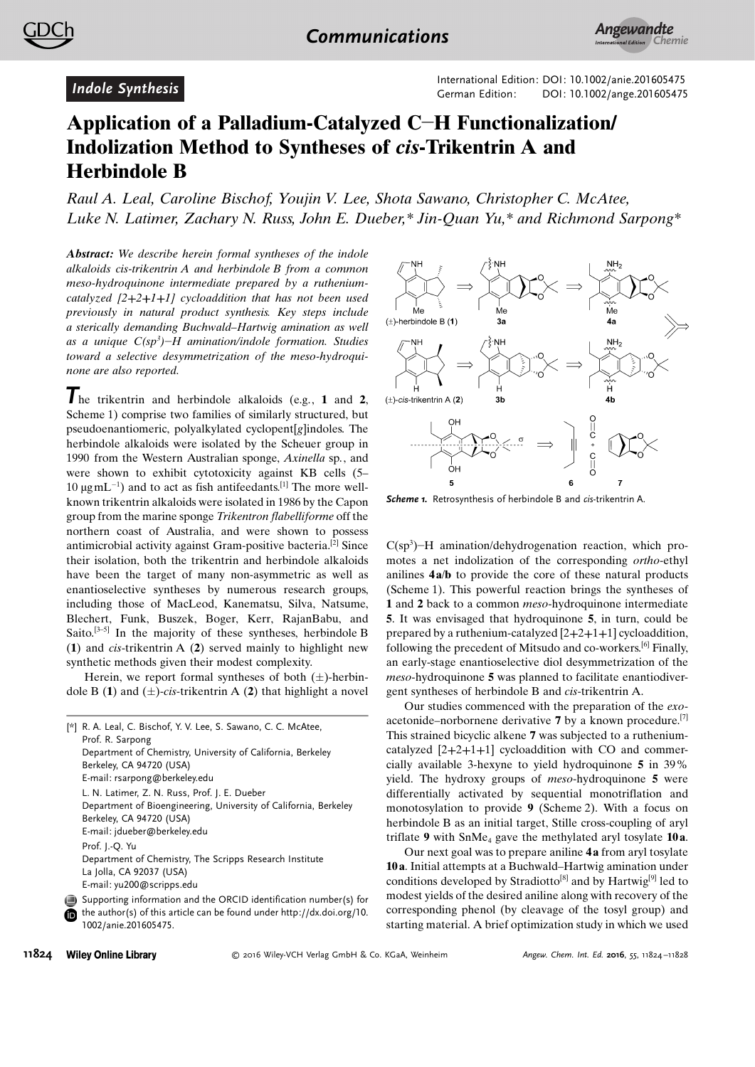

International Edition: DOI: 10.1002/anie.201605475<br>German Edition: DOI: [10.1002/ange.201605475](http://dx.doi.org/10.1002/ange.201605475)

## Application of a Palladium-Catalyzed C-H Functionalization/ Indolization Method to Syntheses of cis-Trikentrin A and Herbindole B

Raul A. Leal, Caroline Bischof, Youjin V. Lee, Shota Sawano, Christopher C. McAtee, Luke N. Latimer, Zachary N. Russ, John E. Dueber,\* Jin-Quan Yu,\* and [Richmond Sarpong\\*](http://orcid.org/0000-0002-0028-6323)

Abstract: We describe herein formal syntheses of the indole alkaloids cis-trikentrin A and herbindole B from a common meso-hydroquinone intermediate prepared by a rutheniumcatalyzed  $[2+2+1+1]$  cycloaddition that has not been used previously in natural product synthesis. Key steps include a sterically demanding Buchwald–Hartwig amination as well as a unique  $C(sp^3)$ –H amination/indole formation. Studies toward a selective desymmetrization of the meso-hydroquinone are also reported.

The trikentrin and herbindole alkaloids (e.g., <sup>1</sup> and <sup>2</sup>, Scheme 1) comprise two families of similarly structured, but pseudoenantiomeric, polyalkylated cyclopent[g]indoles. The herbindole alkaloids were isolated by the Scheuer group in 1990 from the Western Australian sponge, Axinella sp., and were shown to exhibit cytotoxicity against KB cells (5– 10  $\mu$ gmL<sup>-1</sup>) and to act as fish antifeedants.<sup>[1]</sup> The more wellknown trikentrin alkaloids were isolated in 1986 by the Capon group from the marine sponge Trikentron flabelliforme off the northern coast of Australia, and were shown to possess antimicrobial activity against Gram-positive bacteria.[2] Since their isolation, both the trikentrin and herbindole alkaloids have been the target of many non-asymmetric as well as enantioselective syntheses by numerous research groups, including those of MacLeod, Kanematsu, Silva, Natsume, Blechert, Funk, Buszek, Boger, Kerr, RajanBabu, and Saito.<sup>[3-5]</sup> In the majority of these syntheses, herbindole B (1) and cis-trikentrin A (2) served mainly to highlight new synthetic methods given their modest complexity.

Herein, we report formal syntheses of both  $(\pm)$ -herbindole B (1) and  $(\pm)$ -cis-trikentrin A (2) that highlight a novel

```
[*] R. A. Leal, C. Bischof, Y. V. Lee, S. Sawano, C. C. McAtee,
    Prof. R. Sarpong
    Department of Chemistry, University of California, Berkeley
    Berkeley, CA 94720 (USA)
    E-mail: rsarpong@berkeley.edu
    L. N. Latimer, Z. N. Russ, Prof. J. E. Dueber
    Department of Bioengineering, University of California, Berkeley
    Berkeley, CA 94720 (USA)
    E-mail: jdueber@berkeley.edu
    Prof. J.-Q. Yu
    Department of Chemistry, The Scripps Research Institute
    La Jolla, CA 92037 (USA)
    E-mail: yu200@scripps.edu
⋒
```




Scheme 1. Retrosynthesis of herbindole B and cis-trikentrin A.

 $C(sp<sup>3</sup>)$ -H amination/dehydrogenation reaction, which promotes a net indolization of the corresponding ortho-ethyl anilines  $4a/b$  to provide the core of these natural products (Scheme 1). This powerful reaction brings the syntheses of 1 and 2 back to a common *meso*-hydroquinone intermediate 5. It was envisaged that hydroquinone 5, in turn, could be prepared by a ruthenium-catalyzed [2+2+1+1] cycloaddition, following the precedent of Mitsudo and co-workers.<sup>[6]</sup> Finally, an early-stage enantioselective diol desymmetrization of the meso-hydroquinone 5 was planned to facilitate enantiodivergent syntheses of herbindole B and cis-trikentrin A.

Our studies commenced with the preparation of the exoacetonide–norbornene derivative  $7$  by a known procedure.<sup>[7]</sup> This strained bicyclic alkene 7 was subjected to a rutheniumcatalyzed [2+2+1+1] cycloaddition with CO and commercially available 3-hexyne to yield hydroquinone 5 in 39% yield. The hydroxy groups of meso-hydroquinone 5 were differentially activated by sequential monotriflation and monotosylation to provide 9 (Scheme 2). With a focus on herbindole B as an initial target, Stille cross-coupling of aryl triflate 9 with  $SmMe<sub>4</sub>$  gave the methylated aryl tosylate 10a.

Our next goal was to prepare aniline 4 a from aryl tosylate 10 a. Initial attempts at a Buchwald–Hartwig amination under conditions developed by Stradiotto<sup>[8]</sup> and by Hartwig<sup>[9]</sup> led to modest yields of the desired aniline along with recovery of the corresponding phenol (by cleavage of the tosyl group) and starting material. A brief optimization study in which we used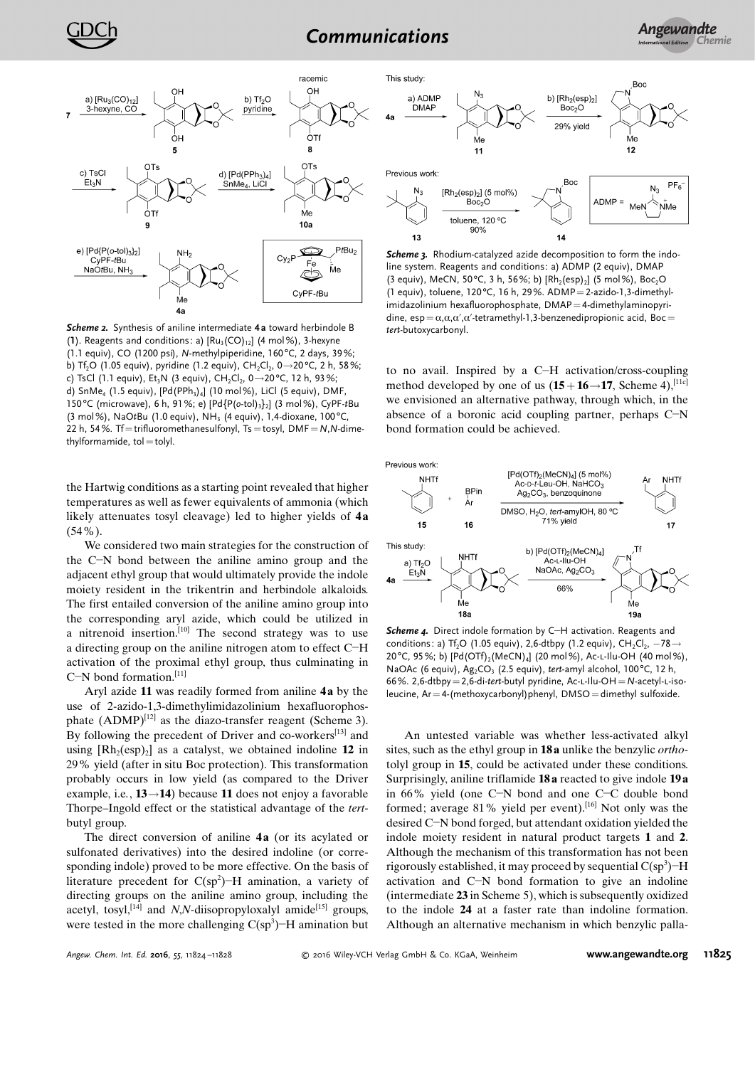

Scheme 2. Synthesis of aniline intermediate 4a toward herbindole B (1). Reagents and conditions: a)  $\lceil Ru_3(CO)_{12}\rceil$  (4 mol%), 3-hexyne (1.1 equiv), CO (1200 psi), N-methylpiperidine, 160°C, 2 days, 39%; b) Tf<sub>2</sub>O (1.05 equiv), pyridine (1.2 equiv), CH<sub>2</sub>Cl<sub>2</sub>, 0  $\rightarrow$  20°C, 2 h, 58%; c) TsCl (1.1 equiv), Et<sub>3</sub>N (3 equiv), CH<sub>2</sub>Cl<sub>2</sub>, 0 - 20 °C, 12 h, 93%; d) SnMe<sub>4</sub> (1.5 equiv),  $[Pd(PPh_3)_4]$  (10 mol%), LiCl (5 equiv), DMF 150°C (microwave), 6 h, 91%; e) [Pd{P(o-tol)<sub>3</sub>}<sub>2</sub>] (3 mol%), CyPF-tBu (3 mol%), NaOtBu (1.0 equiv), NH<sub>3</sub> (4 equiv), 1,4-dioxane, 100 °C, 22 h, 54%. Tf=trifluoromethanesulfonyl, Ts=tosyl, DMF=N,N-dimethylformamide, tol=tolyl.

the Hartwig conditions as a starting point revealed that higher temperatures as well as fewer equivalents of ammonia (which likely attenuates tosyl cleavage) led to higher yields of 4a (54%).

We considered two main strategies for the construction of the C-N bond between the aniline amino group and the adjacent ethyl group that would ultimately provide the indole moiety resident in the trikentrin and herbindole alkaloids. The first entailed conversion of the aniline amino group into the corresponding aryl azide, which could be utilized in a nitrenoid insertion.<sup>[10]</sup> The second strategy was to use a directing group on the aniline nitrogen atom to effect C-H activation of the proximal ethyl group, thus culminating in C-N bond formation.<sup>[11]</sup>

Aryl azide 11 was readily formed from aniline 4a by the use of 2-azido-1,3-dimethylimidazolinium hexafluorophosphate  $(ADMP)^{[12]}$  as the diazo-transfer reagent (Scheme 3). By following the precedent of Driver and co-workers<sup>[13]</sup> and using  $[Rh_2(esp)_2]$  as a catalyst, we obtained indoline 12 in 29% yield (after in situ Boc protection). This transformation probably occurs in low yield (as compared to the Driver example, i.e.,  $13 \rightarrow 14$ ) because 11 does not enjoy a favorable Thorpe–Ingold effect or the statistical advantage of the tertbutyl group.

The direct conversion of aniline 4a (or its acylated or sulfonated derivatives) into the desired indoline (or corresponding indole) proved to be more effective. On the basis of literature precedent for  $C(sp^2)$ -H amination, a variety of directing groups on the aniline amino group, including the acetyl, tosyl,<sup>[14]</sup> and N,N-diisopropyloxalyl amide<sup>[15]</sup> groups, were tested in the more challenging  $C(sp^3)$ –H amination but



Previous work



Scheme 3. Rhodium-catalyzed azide decomposition to form the indoline system. Reagents and conditions: a) ADMP (2 equiv), DMAP (3 equiv), MeCN, 50°C, 3 h, 56%; b)  $[Rh_2(esp)_2]$  (5 mol%), Boc<sub>2</sub>O (1 equiv), toluene,  $120^{\circ}$ C, 16 h, 29%. ADMP = 2-azido-1,3-dimethylimidazolinium hexafluorophosphate, DMAP=4-dimethylaminopyridine,  $\exp = \alpha, \alpha, \alpha', \alpha'$ -tetramethyl-1,3-benzenedipropionic acid, Boc= tert-butoxycarbonyl.

to no avail. Inspired by a C-H activation/cross-coupling method developed by one of us  $(15+16 \rightarrow 17,$  Scheme 4),<sup>[11c]</sup> we envisioned an alternative pathway, through which, in the absence of a boronic acid coupling partner, perhaps C-N bond formation could be achieved.





Scheme 4. Direct indole formation by C-H activation. Reagents and conditions: a) Tf<sub>2</sub>O (1.05 equiv), 2,6-dtbpy (1.2 equiv), CH<sub>2</sub>Cl<sub>2</sub>,  $-78 \rightarrow$ 20°C, 95%; b) [Pd(OTf)<sub>2</sub>(MeCN)<sub>4</sub>] (20 mol%), Ac-L-Ilu-OH (40 mol%), NaOAc (6 equiv), Ag<sub>2</sub>CO<sub>3</sub> (2.5 equiv), tert-amyl alcohol, 100°C, 12 h, 66%. 2,6-dtbpy=2,6-di-tert-butyl pyridine, Ac-L-Ilu-OH=N-acetyl-L-isoleucine, Ar = 4-(methoxycarbonyl)phenyl, DMSO = dimethyl sulfoxide.

An untested variable was whether less-activated alkyl sites, such as the ethyl group in 18 a unlike the benzylic orthotolyl group in 15, could be activated under these conditions. Surprisingly, aniline triflamide 18 a reacted to give indole 19 a in 66% yield (one C-N bond and one C-C double bond formed; average 81% yield per event).<sup>[16]</sup> Not only was the desired C-N bond forged, but attendant oxidation yielded the indole moiety resident in natural product targets 1 and 2. Although the mechanism of this transformation has not been rigorously established, it may proceed by sequential  $C(sp^3)$ –H activation and C-N bond formation to give an indoline (intermediate 23 in Scheme 5), which is subsequently oxidized to the indole 24 at a faster rate than indoline formation. Although an alternative mechanism in which benzylic palla-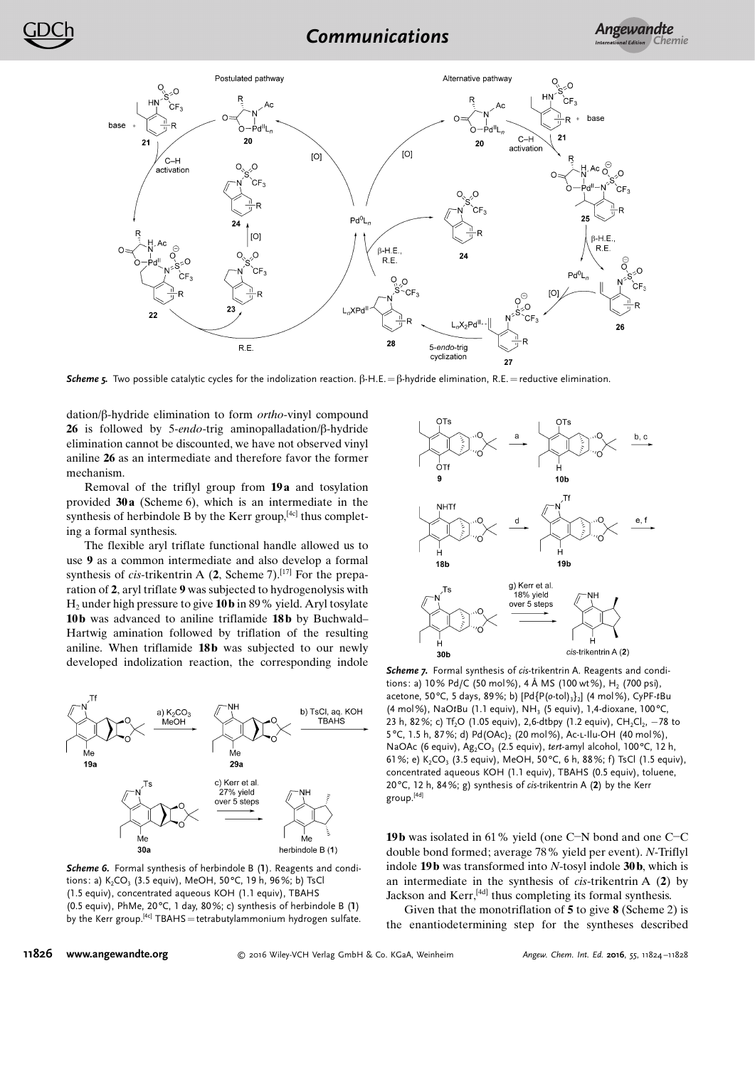

Scheme 5. Two possible catalytic cycles for the indolization reaction.  $\beta$ -H.E. =  $\beta$ -hydride elimination, R.E. = reductive elimination.

dation/ $\beta$ -hydride elimination to form *ortho*-vinyl compound 26 is followed by 5-endo-trig aminopalladation/ $\beta$ -hydride elimination cannot be discounted, we have not observed vinyl aniline 26 as an intermediate and therefore favor the former mechanism.

Removal of the triflyl group from 19 a and tosylation provided 30 a (Scheme 6), which is an intermediate in the synthesis of herbindole B by the Kerr group, $[4c]$  thus completing a formal synthesis.

The flexible aryl triflate functional handle allowed us to use 9 as a common intermediate and also develop a formal synthesis of cis-trikentrin A  $(2,$  Scheme 7).<sup>[17]</sup> For the preparation of 2, aryl triflate 9 was subjected to hydrogenolysis with  $H_2$  under high pressure to give 10 b in 89% yield. Aryl tosylate 10b was advanced to aniline triflamide 18b by Buchwald– Hartwig amination followed by triflation of the resulting aniline. When triflamide 18b was subjected to our newly developed indolization reaction, the corresponding indole



Scheme 6. Formal synthesis of herbindole B (1). Reagents and conditions: a)  $K_2CO_3$  (3.5 equiv), MeOH, 50°C, 19 h, 96%; b) TsCl (1.5 equiv), concentrated aqueous KOH (1.1 equiv), TBAHS (0.5 equiv), PhMe, 20 $^{\circ}$ C, 1 day, 80%; c) synthesis of herbindole B (1) by the Kerr group.<sup>[4c]</sup> TBAHS = tetrabutylammonium hydrogen sulfate.



Scheme 7. Formal synthesis of cis-trikentrin A. Reagents and conditions: a) 10% Pd/C (50 mol%), 4 Å MS (100 wt%), H<sub>2</sub> (700 psi), acetone, 50°C, 5 days, 89%; b)  $[Pd{P(o-tol)}_3]_2]$  (4 mol%), CyPF-tBu (4 mol%), NaOtBu (1.1 equiv), NH<sub>3</sub> (5 equiv), 1,4-dioxane, 100°C, 23 h, 82%; c) Tf<sub>2</sub>O (1.05 equiv), 2,6-dtbpy (1.2 equiv), CH<sub>2</sub>Cl<sub>2</sub>,  $-78$  to 5 °C, 1.5 h, 87%; d) Pd(OAc)<sub>2</sub> (20 mol%), Ac-L-Ilu-OH (40 mol%), NaOAc (6 equiv), Ag<sub>2</sub>CO<sub>3</sub> (2.5 equiv), tert-amyl alcohol, 100°C, 12 h, 61%; e) K<sub>2</sub>CO<sub>3</sub> (3.5 equiv), MeOH, 50°C, 6 h, 88%; f) TsCl (1.5 equiv), concentrated aqueous KOH (1.1 equiv), TBAHS (0.5 equiv), toluene, 20°C, 12 h, 84%; g) synthesis of cis-trikentrin A  $(2)$  by the Kerr group.[4d]

19b was isolated in 61% yield (one C-N bond and one C-C double bond formed; average 78% yield per event). N-Triflyl indole 19 $\bf{b}$  was transformed into N-tosyl indole 30 $\bf{b}$ , which is an intermediate in the synthesis of cis-trikentrin A (2) by Jackson and Kerr,[4d] thus completing its formal synthesis.

Given that the monotriflation of 5 to give 8 (Scheme 2) is the enantiodetermining step for the syntheses described

## 11826 [www.angewandte.org](http://www.angewandte.org)

2016 Wiley-VCH Verlag GmbH & Co. KGaA, Weinheim Angew. Chem. Int. Ed. 2016, 55, 11824 –11828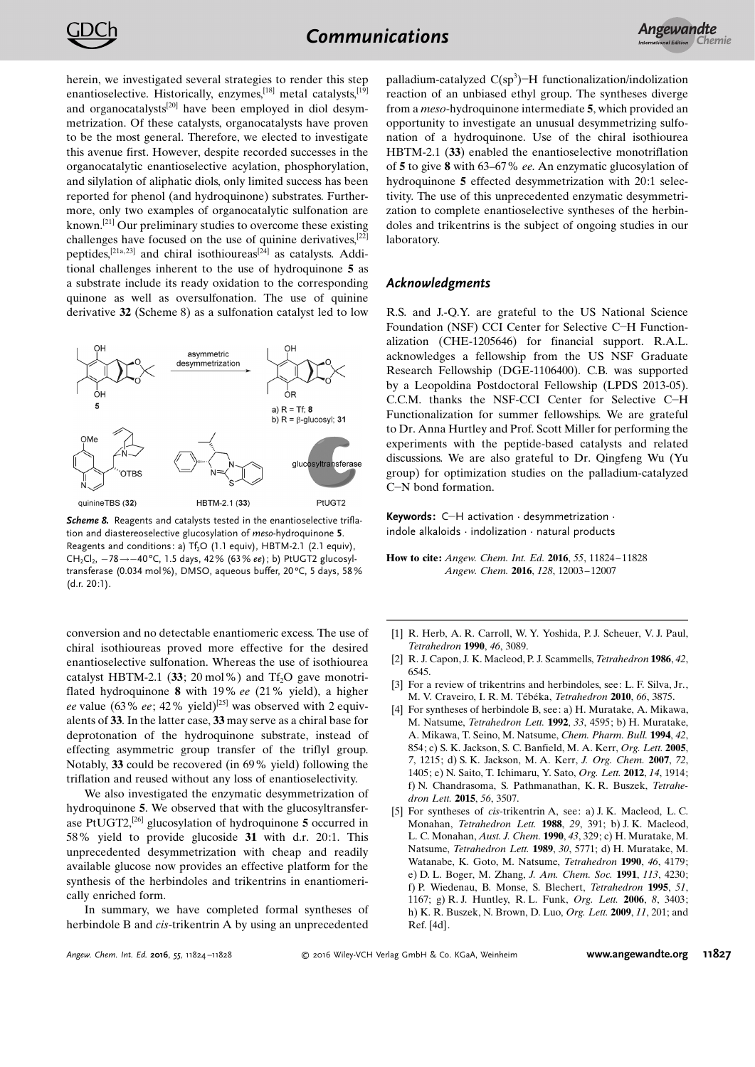

herein, we investigated several strategies to render this step enantioselective. Historically, enzymes,<sup>[18]</sup> metal catalysts,<sup>[19]</sup> and organocatalysts<sup>[20]</sup> have been employed in diol desymmetrization. Of these catalysts, organocatalysts have proven to be the most general. Therefore, we elected to investigate this avenue first. However, despite recorded successes in the organocatalytic enantioselective acylation, phosphorylation, and silylation of aliphatic diols, only limited success has been reported for phenol (and hydroquinone) substrates. Furthermore, only two examples of organocatalytic sulfonation are known.[21] Our preliminary studies to overcome these existing challenges have focused on the use of quinine derivatives,[22] peptides,<sup>[21a, 23]</sup> and chiral isothioureas<sup>[24]</sup> as catalysts. Additional challenges inherent to the use of hydroquinone 5 as a substrate include its ready oxidation to the corresponding quinone as well as oversulfonation. The use of quinine derivative 32 (Scheme 8) as a sulfonation catalyst led to low



Scheme 8. Reagents and catalysts tested in the enantioselective triflation and diastereoselective glucosylation of meso-hydroquinone 5. Reagents and conditions: a)  $Tf_2O$  (1.1 equiv), HBTM-2.1 (2.1 equiv),  $CH_2Cl_2$ ,  $-78 \rightarrow -40^{\circ}$ C, 1.5 days, 42% (63% ee); b) PtUGT2 glucosyltransferase (0.034 mol%), DMSO, aqueous buffer, 20°C, 5 days, 58% (d.r. 20:1).

conversion and no detectable enantiomeric excess. The use of chiral isothioureas proved more effective for the desired enantioselective sulfonation. Whereas the use of isothiourea catalyst HBTM-2.1 (33; 20 mol%) and  $Tf_2O$  gave monotriflated hydroquinone 8 with 19% ee (21% yield), a higher ee value (63% ee; 42% yield)<sup>[25]</sup> was observed with 2 equivalents of 33. In the latter case, 33 may serve as a chiral base for deprotonation of the hydroquinone substrate, instead of effecting asymmetric group transfer of the triflyl group. Notably, 33 could be recovered (in 69% yield) following the triflation and reused without any loss of enantioselectivity.

We also investigated the enzymatic desymmetrization of hydroquinone 5. We observed that with the glucosyltransferase PtUGT2,<sup>[26]</sup> glucosylation of hydroquinone  $5$  occurred in 58% yield to provide glucoside 31 with d.r. 20:1. This unprecedented desymmetrization with cheap and readily available glucose now provides an effective platform for the synthesis of the herbindoles and trikentrins in enantiomerically enriched form.

In summary, we have completed formal syntheses of herbindole B and cis-trikentrin A by using an unprecedented

palladium-catalyzed  $C(sp^3)$ -H functionalization/indolization reaction of an unbiased ethyl group. The syntheses diverge from a meso-hydroquinone intermediate 5, which provided an opportunity to investigate an unusual desymmetrizing sulfonation of a hydroquinone. Use of the chiral isothiourea HBTM-2.1 (33) enabled the enantioselective monotriflation of 5 to give 8 with 63–67% ee. An enzymatic glucosylation of hydroquinone 5 effected desymmetrization with 20:1 selectivity. The use of this unprecedented enzymatic desymmetrization to complete enantioselective syntheses of the herbindoles and trikentrins is the subject of ongoing studies in our laboratory.

## Acknowledgments

R.S. and J.-Q.Y. are grateful to the US National Science Foundation (NSF) CCI Center for Selective C-H Functionalization (CHE-1205646) for financial support. R.A.L. acknowledges a fellowship from the US NSF Graduate Research Fellowship (DGE-1106400). C.B. was supported by a Leopoldina Postdoctoral Fellowship (LPDS 2013-05). C.C.M. thanks the NSF-CCI Center for Selective C-H Functionalization for summer fellowships. We are grateful to Dr. Anna Hurtley and Prof. Scott Miller for performing the experiments with the peptide-based catalysts and related discussions. We are also grateful to Dr. Qingfeng Wu (Yu group) for optimization studies on the palladium-catalyzed C-N bond formation.

Keywords: C-H activation · desymmetrization · indole alkaloids · indolization · natural products

How to cite: Angew. Chem. Int. Ed. 2016, 55, 11824-11828 Angew. Chem. 2016, 128, 12003 – 12007

- [1] R. Herb, A. R. Carroll, W. Y. Yoshida, P. J. Scheuer, V. J. Paul, [Tetrahedron](http://dx.doi.org/10.1016/S0040-4020(01)88399-X) 1990, 46, 3089.
- [2] R. J. Capon, J. K. Macleod, P. J. Scammells, [Tetrahedron](http://dx.doi.org/10.1016/S0040-4020(01)88117-5) 1986, 42, [6545](http://dx.doi.org/10.1016/S0040-4020(01)88117-5).
- [3] For a review of trikentrins and herbindoles, see: L. F. Silva, Jr., M. V. Craveiro, I. R. M. Tébéka, [Tetrahedron](http://dx.doi.org/10.1016/j.tet.2010.03.089) 2010, 66, 3875.
- [4] For syntheses of herbindole B, see: a) H. Muratake, A. Mikawa, M. Natsume, [Tetrahedron Lett.](http://dx.doi.org/10.1016/S0040-4039(00)61322-9) 1992, 33, 4595; b) H. Muratake, A. Mikawa, T. Seino, M. Natsume, [Chem. Pharm. Bull.](http://dx.doi.org/10.1248/cpb.42.854) 1994, 42, [854](http://dx.doi.org/10.1248/cpb.42.854); c) S. K. Jackson, S. C. Banfield, M. A. Kerr, [Org. Lett.](http://dx.doi.org/10.1021/ol047498k) 2005, 7[, 1215](http://dx.doi.org/10.1021/ol047498k); d) S. K. Jackson, M. A. Kerr, [J. Org. Chem.](http://dx.doi.org/10.1021/jo062350v) 2007, 72, [1405](http://dx.doi.org/10.1021/jo062350v); e) N. Saito, T. Ichimaru, Y. Sato, [Org. Lett.](http://dx.doi.org/10.1021/ol300571b) 2012, 14, 1914; f) N. Chandrasoma, S. Pathmanathan, K. R. Buszek, [Tetrahe](http://dx.doi.org/10.1016/j.tetlet.2015.02.064)[dron Lett.](http://dx.doi.org/10.1016/j.tetlet.2015.02.064) 2015, 56, 3507.
- [5] For syntheses of cis-trikentrin A, see: a) J. K. Macleod, L. C. Monahan, [Tetrahedron Lett.](http://dx.doi.org/10.1016/S0040-4039(00)80105-7) 1988, 29, 391; b) J. K. Macleod, L. C. Monahan, [Aust. J. Chem.](http://dx.doi.org/10.1071/CH9900329) 1990, 43, 329; c) H. Muratake, M. Natsume, [Tetrahedron Lett.](http://dx.doi.org/10.1016/S0040-4039(00)76193-4) 1989, 30, 5771; d) H. Muratake, M. Watanabe, K. Goto, M. Natsume, [Tetrahedron](http://dx.doi.org/10.1016/S0040-4020(01)86755-7) 1990, 46, 4179; e) D. L. Boger, M. Zhang, [J. Am. Chem. Soc.](http://dx.doi.org/10.1021/ja00011a026) 1991, 113, 4230; f) P. Wiedenau, B. Monse, S. Blechert, [Tetrahedron](http://dx.doi.org/10.1016/0040-4020(94)01002-H) 1995, 51, [1167](http://dx.doi.org/10.1016/0040-4020(94)01002-H); g) R. J. Huntley, R. L. Funk, [Org. Lett.](http://dx.doi.org/10.1021/ol061259a) 2006, 8, 3403; h) K. R. Buszek, N. Brown, D. Luo, [Org. Lett.](http://dx.doi.org/10.1021/ol802425m) 2009, 11, 201; and Ref. [4d].